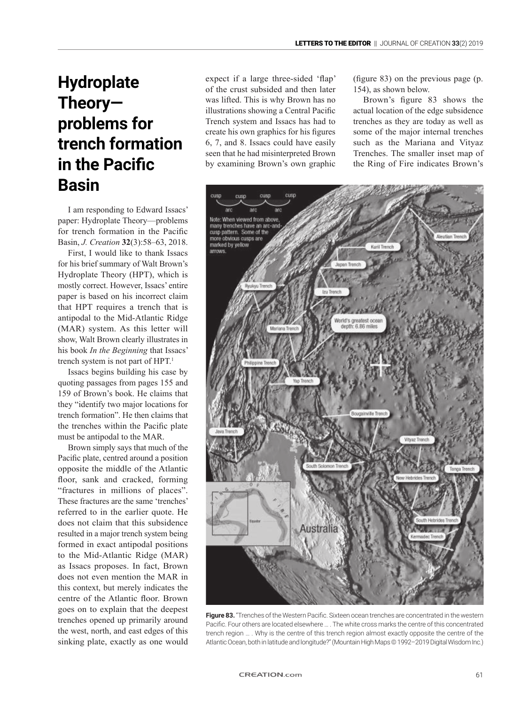## **Hydroplate Theory problems for trench formation in the Pacific Basin**

I am responding to Edward Issacs' paper: Hydroplate Theory—problems for trench formation in the Pacific Basin, *J. Creation* **32**(3):58–63, 2018.

First, I would like to thank Issacs for his brief summary of Walt Brown's Hydroplate Theory (HPT), which is mostly correct. However, Issacs' entire paper is based on his incorrect claim that HPT requires a trench that is antipodal to the Mid-Atlantic Ridge (MAR) system. As this letter will show, Walt Brown clearly illustrates in his book *In the Beginning* that Issacs' trench system is not part of HPT.<sup>1</sup>

Issacs begins building his case by quoting passages from pages 155 and 159 of Brown's book. He claims that they "identify two major locations for trench formation". He then claims that the trenches within the Pacific plate must be antipodal to the MAR.

Brown simply says that much of the Pacific plate, centred around a position opposite the middle of the Atlantic floor, sank and cracked, forming "fractures in millions of places". These fractures are the same 'trenches' referred to in the earlier quote. He does not claim that this subsidence resulted in a major trench system being formed in exact antipodal positions to the Mid-Atlantic Ridge (MAR) as Issacs proposes. In fact, Brown does not even mention the MAR in this context, but merely indicates the centre of the Atlantic floor. Brown goes on to explain that the deepest trenches opened up primarily around the west, north, and east edges of this sinking plate, exactly as one would expect if a large three-sided 'flap' of the crust subsided and then later was lifted. This is why Brown has no illustrations showing a Central Pacific Trench system and Issacs has had to create his own graphics for his figures 6, 7, and 8. Issacs could have easily seen that he had misinterpreted Brown by examining Brown's own graphic

(figure 83) on the previous page (p. 154), as shown below.

Brown's figure 83 shows the actual location of the edge subsidence trenches as they are today as well as some of the major internal trenches such as the Mariana and Vityaz Trenches. The smaller inset map of the Ring of Fire indicates Brown's



Figure 83. "Trenches of the Western Pacific. Sixteen ocean trenches are concentrated in the western Pacific. Four others are located elsewhere … . The white cross marks the centre of this concentrated trench region … . Why is the centre of this trench region almost exactly opposite the centre of the Atlantic Ocean, both in latitude and longitude?" (Mountain High Maps © 1992-2019 Digital Wisdom Inc.)